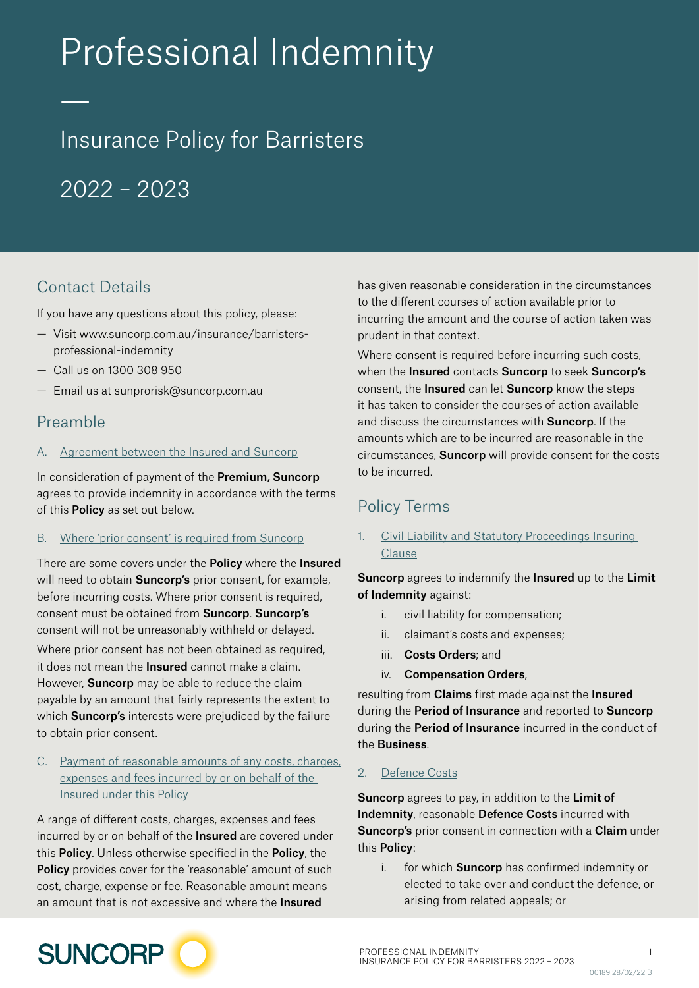# Professional Indemnity

## Insurance Policy for Barristers

 $2022 - 2023$ 

## Contact Details

—

If you have any questions about this policy, please:

- Visit [www.suncorp.com.au/insurance/barristers](https://www.suncorp.com.au/insurance/barristers-professional-indemnity.html)[professional-indemnity](https://www.suncorp.com.au/insurance/barristers-professional-indemnity.html)
- Call us on 1300 308 950
- Email us at [sunprorisk@suncorp.com.au](mailto:sunprorisk%40suncorp.com.au?subject=)

### Preamble

#### A. Agreement between the Insured and Suncorp

In consideration of payment of the **Premium, Suncorp** agrees to provide indemnity in accordance with the terms of this **Policy** as set out below.

#### B. Where 'prior consent' is required from Suncorp

There are some covers under the **Policy** where the **Insured** will need to obtain Suncorp's prior consent, for example, before incurring costs. Where prior consent is required, consent must be obtained from Suncorp. Suncorp's consent will not be unreasonably withheld or delayed. Where prior consent has not been obtained as required. it does not mean the **Insured** cannot make a claim. However, **Suncorp** may be able to reduce the claim payable by an amount that fairly represents the extent to which **Suncorp's** interests were prejudiced by the failure to obtain prior consent.

#### C. Payment of reasonable amounts of any costs, charges, expenses and fees incurred by or on behalf of the Insured under this Policy

A range of different costs, charges, expenses and fees incurred by or on behalf of the **Insured** are covered under this Policy. Unless otherwise specified in the Policy, the Policy provides cover for the 'reasonable' amount of such cost, charge, expense or fee. Reasonable amount means an amount that is not excessive and where the **Insured** 

has given reasonable consideration in the circumstances to the different courses of action available prior to incurring the amount and the course of action taken was prudent in that context.

Where consent is required before incurring such costs, when the Insured contacts Suncorp to seek Suncorp's consent, the Insured can let Suncorp know the steps it has taken to consider the courses of action available and discuss the circumstances with Suncorp. If the amounts which are to be incurred are reasonable in the circumstances, Suncorp will provide consent for the costs to be incurred.

## Policy Terms

1. Civil Liability and Statutory Proceedings Insuring Clause

**Suncorp** agrees to indemnify the **Insured** up to the **Limit** of Indemnity against:

- i. civil liability for compensation;
- ii. claimant's costs and expenses;
- iii. Costs Orders; and
- iv. Compensation Orders,

resulting from **Claims** first made against the **Insured** during the Period of Insurance and reported to Suncorp during the **Period of Insurance** incurred in the conduct of the Business.

#### 2. Defence Costs

Suncorp agrees to pay, in addition to the Limit of Indemnity, reasonable Defence Costs incurred with Suncorp's prior consent in connection with a Claim under this Policy:

i. for which **Suncorp** has confirmed indemnity or elected to take over and conduct the defence, or arising from related appeals; or

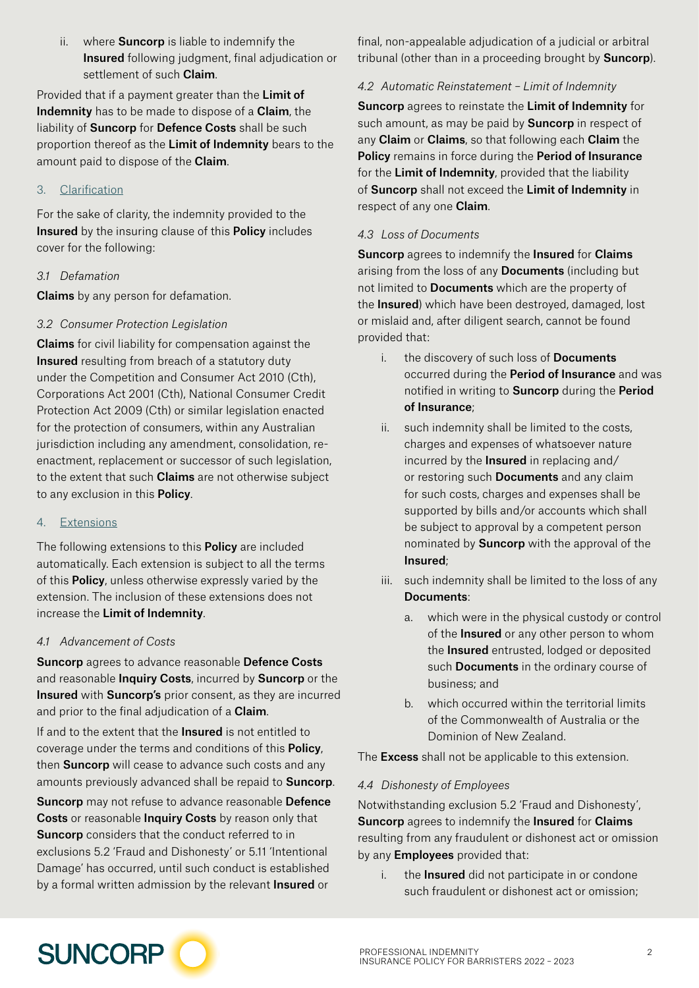ii. where **Suncorp** is liable to indemnify the Insured following judgment, final adjudication or settlement of such **Claim**.

Provided that if a payment greater than the Limit of Indemnity has to be made to dispose of a Claim, the liability of **Suncorp** for **Defence Costs** shall be such proportion thereof as the Limit of Indemnity bears to the amount paid to dispose of the **Claim**.

#### 3. Clarification

For the sake of clarity, the indemnity provided to the **Insured** by the insuring clause of this **Policy** includes cover for the following:

#### *3.1 Defamation*

**Claims** by any person for defamation.

#### *3.2 Consumer Protection Legislation*

Claims for civil liability for compensation against the **Insured** resulting from breach of a statutory duty under the Competition and Consumer Act 2010 (Cth), Corporations Act 2001 (Cth), National Consumer Credit Protection Act 2009 (Cth) or similar legislation enacted for the protection of consumers, within any Australian jurisdiction including any amendment, consolidation, reenactment, replacement or successor of such legislation, to the extent that such **Claims** are not otherwise subject to any exclusion in this Policy.

#### 4. Extensions

The following extensions to this **Policy** are included automatically. Each extension is subject to all the terms of this **Policy**, unless otherwise expressly varied by the extension. The inclusion of these extensions does not increase the Limit of Indemnity.

#### *4.1 Advancement of Costs*

Suncorp agrees to advance reasonable Defence Costs and reasonable **Inquiry Costs**, incurred by **Suncorp** or the **Insured** with **Suncorp's** prior consent, as they are incurred and prior to the final adjudication of a Claim.

If and to the extent that the **Insured** is not entitled to coverage under the terms and conditions of this Policy, then **Suncorp** will cease to advance such costs and any amounts previously advanced shall be repaid to **Suncorp**.

Suncorp may not refuse to advance reasonable Defence Costs or reasonable Inquiry Costs by reason only that **Suncorp** considers that the conduct referred to in exclusions 5.2 'Fraud and Dishonesty' or 5.11 'Intentional Damage' has occurred, until such conduct is established by a formal written admission by the relevant **Insured** or

final, non-appealable adjudication of a judicial or arbitral tribunal (other than in a proceeding brought by **Suncorp**).

#### *4.2 Automatic Reinstatement – Limit of Indemnity*

Suncorp agrees to reinstate the Limit of Indemnity for such amount, as may be paid by **Suncorp** in respect of any Claim or Claims, so that following each Claim the Policy remains in force during the Period of Insurance for the Limit of Indemnity, provided that the liability of Suncorp shall not exceed the Limit of Indemnity in respect of any one **Claim**.

#### *4.3 Loss of Documents*

Suncorp agrees to indemnify the Insured for Claims arising from the loss of any **Documents** (including but not limited to **Documents** which are the property of the Insured) which have been destroyed, damaged, lost or mislaid and, after diligent search, cannot be found provided that:

- i. the discovery of such loss of **Documents** occurred during the Period of Insurance and was notified in writing to Suncorp during the Period of Insurance;
- ii. such indemnity shall be limited to the costs, charges and expenses of whatsoever nature incurred by the Insured in replacing and/ or restoring such **Documents** and any claim for such costs, charges and expenses shall be supported by bills and/or accounts which shall be subject to approval by a competent person nominated by **Suncorp** with the approval of the Insured;
- iii. such indemnity shall be limited to the loss of any Documents:
	- a. which were in the physical custody or control of the **Insured** or any other person to whom the Insured entrusted, lodged or deposited such **Documents** in the ordinary course of business; and
	- b. which occurred within the territorial limits of the Commonwealth of Australia or the Dominion of New Zealand.

The **Excess** shall not be applicable to this extension.

#### *4.4 Dishonesty of Employees*

Notwithstanding exclusion 5.2 'Fraud and Dishonesty', Suncorp agrees to indemnify the Insured for Claims resulting from any fraudulent or dishonest act or omission by any **Employees** provided that:

i. the **Insured** did not participate in or condone such fraudulent or dishonest act or omission;

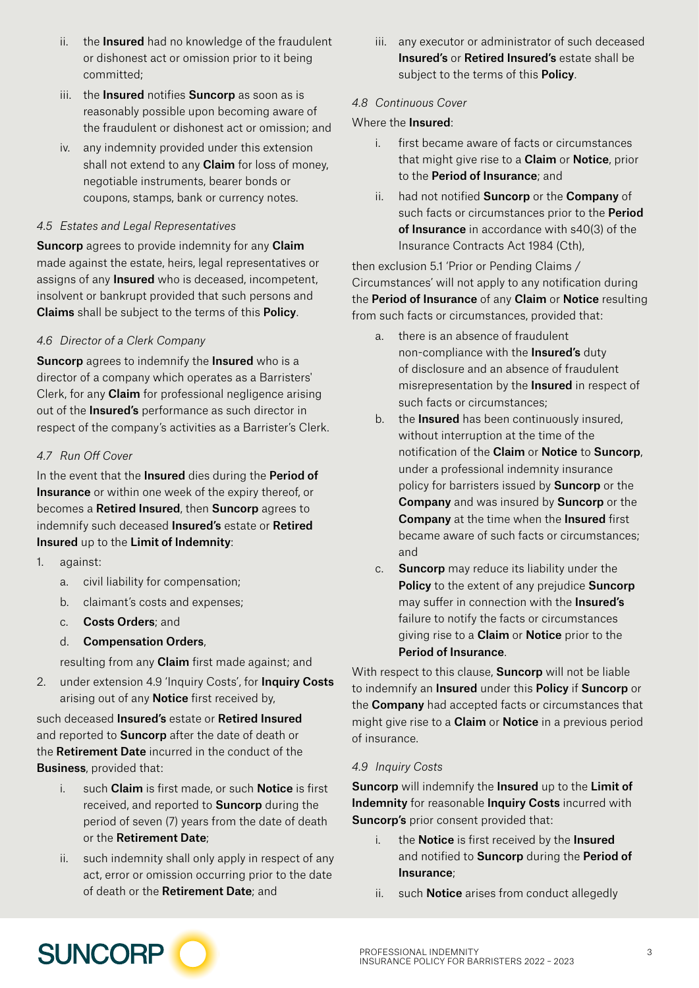- ii. the **Insured** had no knowledge of the fraudulent or dishonest act or omission prior to it being committed;
- iii. the **Insured** notifies **Suncorp** as soon as is reasonably possible upon becoming aware of the fraudulent or dishonest act or omission; and
- iv. any indemnity provided under this extension shall not extend to any **Claim** for loss of money, negotiable instruments, bearer bonds or coupons, stamps, bank or currency notes.

#### *4.5 Estates and Legal Representatives*

**Suncorp** agrees to provide indemnity for any **Claim** made against the estate, heirs, legal representatives or assigns of any **Insured** who is deceased, incompetent, insolvent or bankrupt provided that such persons and Claims shall be subject to the terms of this Policy.

#### *4.6 Director of a Clerk Company*

**Suncorp** agrees to indemnify the **Insured** who is a director of a company which operates as a Barristers' Clerk, for any **Claim** for professional negligence arising out of the **Insured's** performance as such director in respect of the company's activities as a Barrister's Clerk.

#### *4.7 Run Off Cover*

In the event that the **Insured** dies during the **Period of** Insurance or within one week of the expiry thereof, or becomes a Retired Insured, then Suncorp agrees to indemnify such deceased Insured's estate or Retired Insured up to the Limit of Indemnity:

- 1. against:
	- a. civil liability for compensation;
	- b. claimant's costs and expenses;
	- c. Costs Orders; and
	- d. Compensation Orders,

resulting from any **Claim** first made against; and

2. under extension 4.9 'Inquiry Costs', for Inquiry Costs arising out of any Notice first received by,

such deceased Insured's estate or Retired Insured and reported to **Suncorp** after the date of death or the Retirement Date incurred in the conduct of the Business, provided that:

- i. such **Claim** is first made, or such **Notice** is first received, and reported to **Suncorp** during the period of seven (7) years from the date of death or the Retirement Date;
- ii. such indemnity shall only apply in respect of any act, error or omission occurring prior to the date of death or the Retirement Date; and

iii. any executor or administrator of such deceased Insured's or Retired Insured's estate shall be subject to the terms of this **Policy**.

#### *4.8 Continuous Cover*

#### Where the Insured:

- i. first became aware of facts or circumstances that might give rise to a **Claim** or **Notice**, prior to the Period of Insurance; and
- ii. had not notified **Suncorp** or the **Company** of such facts or circumstances prior to the **Period** of Insurance in accordance with s40(3) of the Insurance Contracts Act 1984 (Cth),

then exclusion 5.1 'Prior or Pending Claims / Circumstances' will not apply to any notification during the **Period of Insurance** of any **Claim** or **Notice** resulting from such facts or circumstances, provided that:

- a. there is an absence of fraudulent non-compliance with the Insured's duty of disclosure and an absence of fraudulent misrepresentation by the **Insured** in respect of such facts or circumstances;
- b. the **Insured** has been continuously insured. without interruption at the time of the notification of the Claim or Notice to Suncorp, under a professional indemnity insurance policy for barristers issued by Suncorp or the Company and was insured by Suncorp or the Company at the time when the Insured first became aware of such facts or circumstances; and
- c. Suncorp may reduce its liability under the Policy to the extent of any prejudice Suncorp may suffer in connection with the **Insured's** failure to notify the facts or circumstances giving rise to a **Claim** or **Notice** prior to the Period of Insurance.

With respect to this clause, **Suncorp** will not be liable to indemnify an Insured under this Policy if Suncorp or the Company had accepted facts or circumstances that might give rise to a **Claim** or **Notice** in a previous period of insurance.

#### *4.9 Inquiry Costs*

Suncorp will indemnify the Insured up to the Limit of Indemnity for reasonable Inquiry Costs incurred with Suncorp's prior consent provided that:

- i. the **Notice** is first received by the **Insured** and notified to Suncorp during the Period of Insurance;
- ii. such **Notice** arises from conduct allegedly

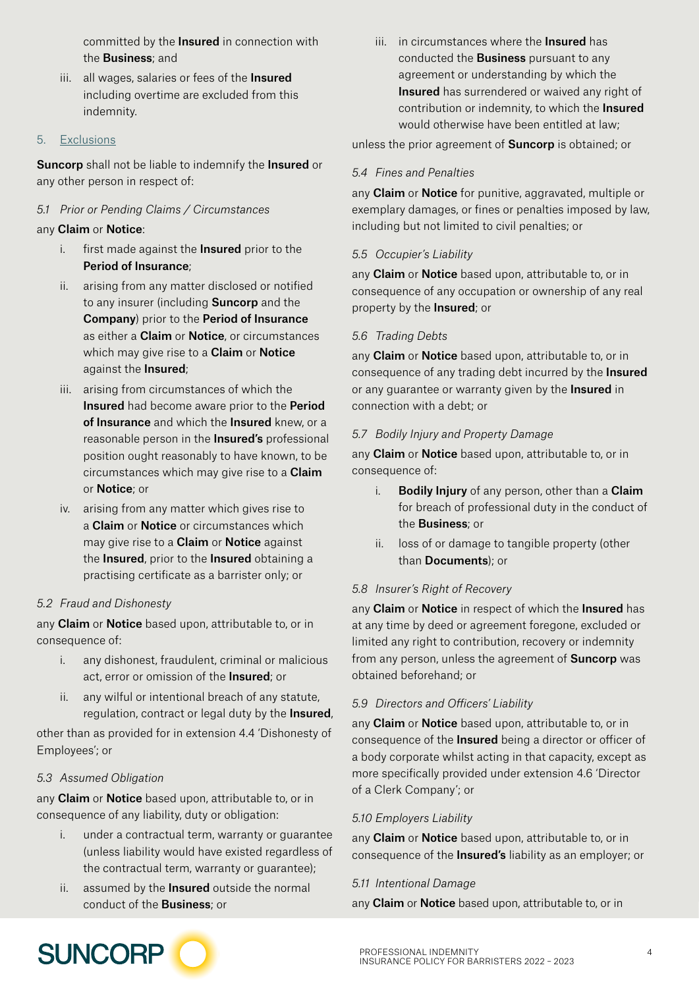committed by the **Insured** in connection with the **Business**; and

iii. all wages, salaries or fees of the **Insured** including overtime are excluded from this indemnity.

#### 5. Exclusions

Suncorp shall not be liable to indemnify the Insured or any other person in respect of:

#### *5.1 Prior or Pending Claims / Circumstances*

#### any Claim or Notice:

- i. first made against the Insured prior to the Period of Insurance;
- ii. arising from any matter disclosed or notified to any insurer (including **Suncorp** and the Company) prior to the Period of Insurance as either a **Claim** or **Notice**, or circumstances which may give rise to a **Claim** or **Notice** against the Insured;
- iii. arising from circumstances of which the Insured had become aware prior to the Period of Insurance and which the Insured knew, or a reasonable person in the Insured's professional position ought reasonably to have known, to be circumstances which may give rise to a Claim or Notice; or
- iv. arising from any matter which gives rise to a Claim or Notice or circumstances which may give rise to a **Claim** or **Notice** against the **Insured**, prior to the **Insured** obtaining a practising certificate as a barrister only; or

#### *5.2 Fraud and Dishonesty*

any Claim or Notice based upon, attributable to, or in consequence of:

- i. any dishonest, fraudulent, criminal or malicious act, error or omission of the **Insured**; or
- ii. any wilful or intentional breach of any statute, regulation, contract or legal duty by the **Insured**,

other than as provided for in extension 4.4 'Dishonesty of Employees'; or

#### *5.3 Assumed Obligation*

any **Claim** or **Notice** based upon, attributable to, or in consequence of any liability, duty or obligation:

- i. under a contractual term, warranty or guarantee (unless liability would have existed regardless of the contractual term, warranty or guarantee);
- ii. assumed by the **Insured** outside the normal conduct of the Business; or

iii. in circumstances where the **Insured** has conducted the **Business** pursuant to any agreement or understanding by which the **Insured** has surrendered or waived any right of contribution or indemnity, to which the Insured would otherwise have been entitled at law;

unless the prior agreement of **Suncorp** is obtained; or

#### *5.4 Fines and Penalties*

any Claim or Notice for punitive, aggravated, multiple or exemplary damages, or fines or penalties imposed by law, including but not limited to civil penalties; or

#### *5.5 Occupier's Liability*

any Claim or Notice based upon, attributable to, or in consequence of any occupation or ownership of any real property by the Insured; or

#### *5.6 Trading Debts*

any Claim or Notice based upon, attributable to, or in consequence of any trading debt incurred by the Insured or any guarantee or warranty given by the **Insured** in connection with a debt; or

#### *5.7 Bodily Injury and Property Damage*

any Claim or Notice based upon, attributable to, or in consequence of:

- i. **Bodily Injury** of any person, other than a **Claim** for breach of professional duty in the conduct of the Business; or
- ii. loss of or damage to tangible property (other than Documents); or

#### *5.8 Insurer's Right of Recovery*

any Claim or Notice in respect of which the Insured has at any time by deed or agreement foregone, excluded or limited any right to contribution, recovery or indemnity from any person, unless the agreement of **Suncorp** was obtained beforehand; or

#### *5.9 Directors and Officers' Liability*

any Claim or Notice based upon, attributable to, or in consequence of the Insured being a director or officer of a body corporate whilst acting in that capacity, except as more specifically provided under extension 4.6 'Director of a Clerk Company'; or

#### *5.10 Employers Liability*

any **Claim** or **Notice** based upon, attributable to, or in consequence of the Insured's liability as an employer; or

#### *5.11 Intentional Damage*

any Claim or Notice based upon, attributable to, or in

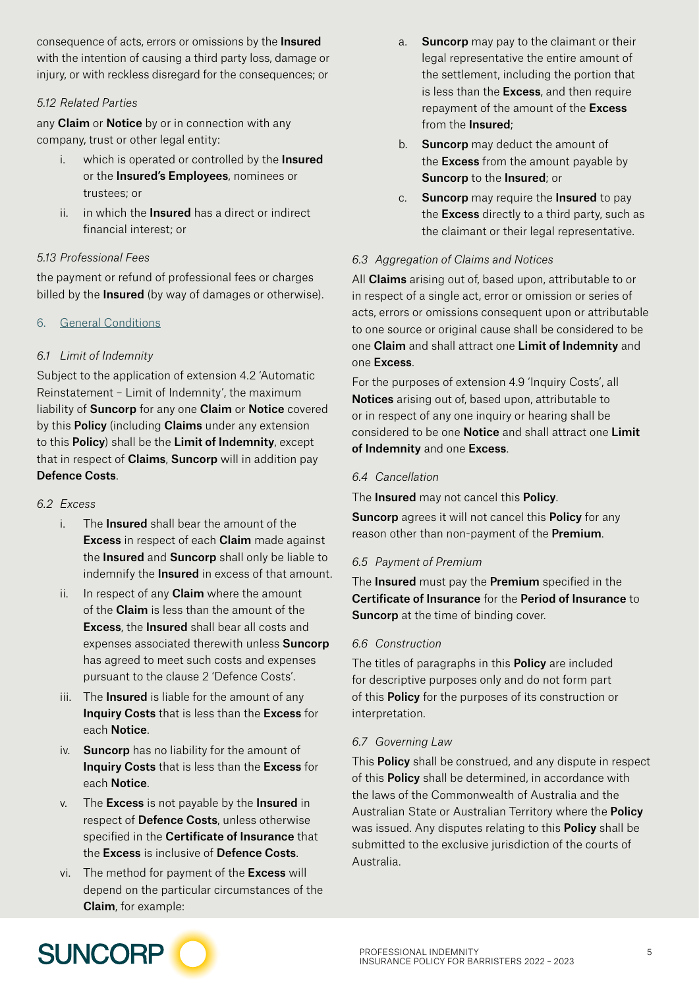consequence of acts, errors or omissions by the **Insured** with the intention of causing a third party loss, damage or injury, or with reckless disregard for the consequences; or

#### *5.12 Related Parties*

any **Claim** or **Notice** by or in connection with any company, trust or other legal entity:

- i. which is operated or controlled by the Insured or the Insured's Employees, nominees or trustees; or
- ii. in which the **Insured** has a direct or indirect financial interest; or

#### *5.13 Professional Fees*

the payment or refund of professional fees or charges billed by the **Insured** (by way of damages or otherwise).

#### 6. General Conditions

#### *6.1 Limit of Indemnity*

Subject to the application of extension 4.2 'Automatic Reinstatement – Limit of Indemnity', the maximum liability of **Suncorp** for any one **Claim** or **Notice** covered by this **Policy** (including **Claims** under any extension to this Policy) shall be the Limit of Indemnity, except that in respect of **Claims, Suncorp** will in addition pay Defence Costs.

#### *6.2 Excess*

- i. The **Insured** shall bear the amount of the Excess in respect of each Claim made against the Insured and Suncorp shall only be liable to indemnify the **Insured** in excess of that amount.
- ii. In respect of any **Claim** where the amount of the Claim is less than the amount of the Excess, the Insured shall bear all costs and expenses associated therewith unless **Suncorp** has agreed to meet such costs and expenses pursuant to the clause 2 'Defence Costs'.
- iii. The **Insured** is liable for the amount of any Inquiry Costs that is less than the Excess for each Notice.
- iv. Suncorp has no liability for the amount of Inquiry Costs that is less than the Excess for each Notice.
- $v.$  The **Excess** is not payable by the **Insured** in respect of Defence Costs, unless otherwise specified in the **Certificate of Insurance** that the Excess is inclusive of Defence Costs.
- vi. The method for payment of the **Excess** will depend on the particular circumstances of the Claim, for example:
- a. **Suncorp** may pay to the claimant or their legal representative the entire amount of the settlement, including the portion that is less than the Excess, and then require repayment of the amount of the Excess from the Insured;
- b. **Suncorp** may deduct the amount of the **Excess** from the amount payable by Suncorp to the Insured; or
- c. Suncorp may require the Insured to pay the **Excess** directly to a third party, such as the claimant or their legal representative.

#### *6.3 Aggregation of Claims and Notices*

All **Claims** arising out of, based upon, attributable to or in respect of a single act, error or omission or series of acts, errors or omissions consequent upon or attributable to one source or original cause shall be considered to be one Claim and shall attract one Limit of Indemnity and one Excess.

For the purposes of extension 4.9 'Inquiry Costs', all Notices arising out of, based upon, attributable to or in respect of any one inquiry or hearing shall be considered to be one Notice and shall attract one Limit of Indemnity and one Excess.

#### *6.4 Cancellation*

The **Insured** may not cancel this **Policy**.

**Suncorp** agrees it will not cancel this **Policy** for any reason other than non-payment of the Premium.

#### *6.5 Payment of Premium*

The Insured must pay the Premium specified in the Certificate of Insurance for the Period of Insurance to **Suncorp** at the time of binding cover.

#### *6.6 Construction*

The titles of paragraphs in this **Policy** are included for descriptive purposes only and do not form part of this **Policy** for the purposes of its construction or interpretation.

#### *6.7 Governing Law*

This **Policy** shall be construed, and any dispute in respect of this Policy shall be determined, in accordance with the laws of the Commonwealth of Australia and the Australian State or Australian Territory where the Policy was issued. Any disputes relating to this **Policy** shall be submitted to the exclusive jurisdiction of the courts of Australia.

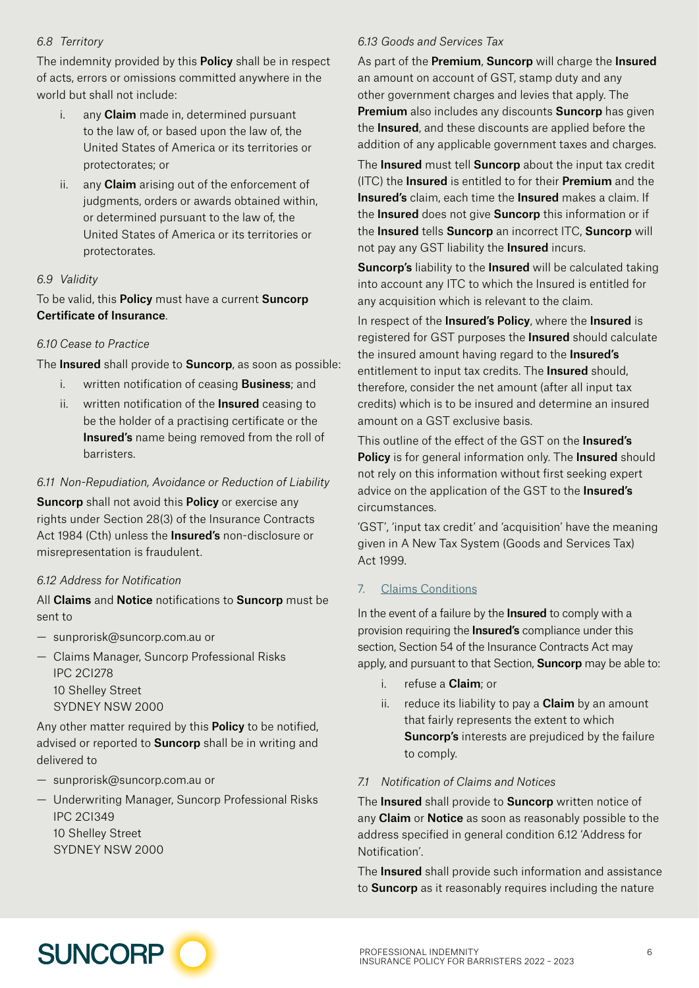#### *6.8 Territory*

The indemnity provided by this **Policy** shall be in respect of acts, errors or omissions committed anywhere in the world but shall not include:

- i. any **Claim** made in, determined pursuant to the law of, or based upon the law of, the United States of America or its territories or protectorates; or
- ii. any Claim arising out of the enforcement of judgments, orders or awards obtained within, or determined pursuant to the law of, the United States of America or its territories or protectorates.

#### *6.9 Validity*

To be valid, this **Policy** must have a current **Suncorp** Certificate of Insurance.

#### *6.10 Cease to Practice*

The Insured shall provide to Suncorp, as soon as possible:

- i. written notification of ceasing **Business**; and
- ii. written notification of the **Insured** ceasing to be the holder of a practising certificate or the Insured's name being removed from the roll of barristers.

#### *6.11 Non-Repudiation, Avoidance or Reduction of Liability*

Suncorp shall not avoid this Policy or exercise any rights under Section 28(3) of the Insurance Contracts Act 1984 (Cth) unless the **Insured's** non-disclosure or misrepresentation is fraudulent.

#### *6.12 Address for Notification*

All Claims and Notice notifications to Suncorp must be sent to

- [sunprorisk@suncorp.com.au](mailto:sunprorisk%40suncorp.com.au?subject=) or
- Claims Manager, Suncorp Professional Risks IPC 2CI278 10 Shelley Street SYDNEY NSW 2000

Any other matter required by this **Policy** to be notified, advised or reported to **Suncorp** shall be in writing and delivered to

- [sunprorisk@suncorp.com.au](mailto:sunprorisk%40suncorp.com.au?subject=) or
- Underwriting Manager, Suncorp Professional Risks IPC 2CI349

10 Shelley Street SYDNEY NSW 2000

#### *6.13 Goods and Services Tax*

As part of the Premium, Suncorp will charge the Insured an amount on account of GST, stamp duty and any other government charges and levies that apply. The Premium also includes any discounts Suncorp has given the Insured, and these discounts are applied before the addition of any applicable government taxes and charges.

The Insured must tell Suncorp about the input tax credit (ITC) the Insured is entitled to for their Premium and the Insured's claim, each time the Insured makes a claim. If the Insured does not give Suncorp this information or if the **Insured** tells **Suncorp** an incorrect ITC, **Suncorp** will not pay any GST liability the **Insured** incurs.

Suncorp's liability to the Insured will be calculated taking into account any ITC to which the Insured is entitled for any acquisition which is relevant to the claim.

In respect of the **Insured's Policy**, where the **Insured** is registered for GST purposes the **Insured** should calculate the insured amount having regard to the **Insured's** entitlement to input tax credits. The **Insured** should, therefore, consider the net amount (after all input tax credits) which is to be insured and determine an insured amount on a GST exclusive basis.

This outline of the effect of the GST on the Insured's **Policy** is for general information only. The **Insured** should not rely on this information without first seeking expert advice on the application of the GST to the **Insured's** circumstances.

'GST', 'input tax credit' and 'acquisition' have the meaning given in A New Tax System (Goods and Services Tax) Act 1999.

#### 7. Claims Conditions

In the event of a failure by the **Insured** to comply with a provision requiring the **Insured's** compliance under this section, Section 54 of the Insurance Contracts Act may apply, and pursuant to that Section, **Suncorp** may be able to:

- i. refuse a Claim; or
- ii. reduce its liability to pay a  $Claim$  by an amount that fairly represents the extent to which Suncorp's interests are prejudiced by the failure to comply.

#### *7.1 Notification of Claims and Notices*

The Insured shall provide to Suncorp written notice of any Claim or Notice as soon as reasonably possible to the address specified in general condition 6.12 'Address for Notification'.

The **Insured** shall provide such information and assistance to **Suncorp** as it reasonably requires including the nature

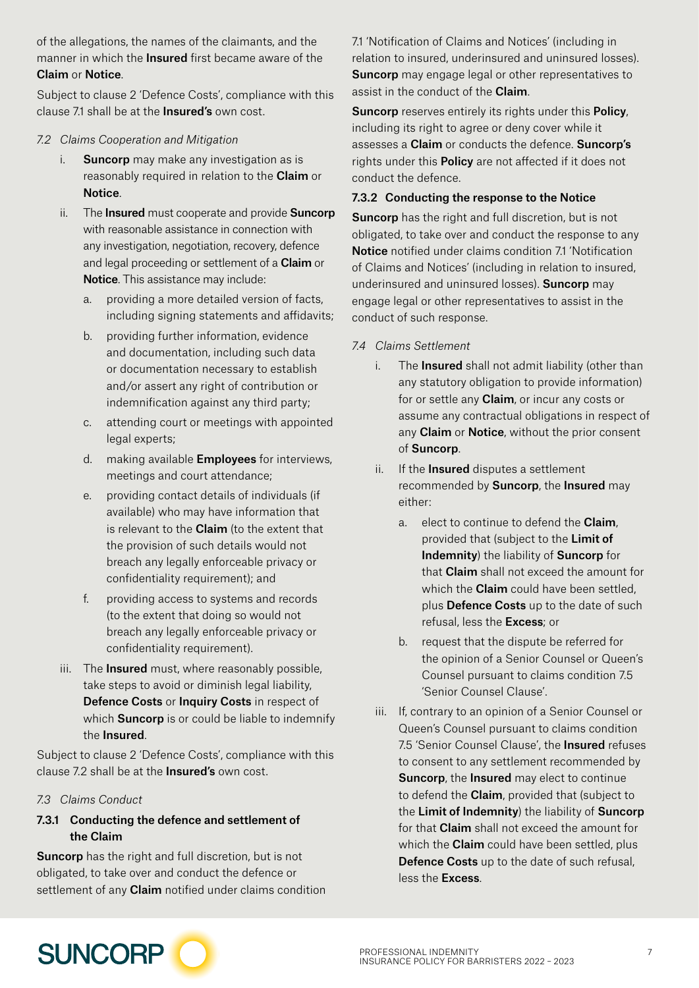of the allegations, the names of the claimants, and the manner in which the **Insured** first became aware of the Claim or Notice.

Subject to clause 2 'Defence Costs', compliance with this clause 7.1 shall be at the **Insured's** own cost.

#### *7.2 Claims Cooperation and Mitigation*

- i. Suncorp may make any investigation as is reasonably required in relation to the Claim or Notice.
- ii. The Insured must cooperate and provide Suncorp with reasonable assistance in connection with any investigation, negotiation, recovery, defence and legal proceeding or settlement of a Claim or Notice. This assistance may include:
	- a. providing a more detailed version of facts, including signing statements and affidavits;
	- b. providing further information, evidence and documentation, including such data or documentation necessary to establish and/or assert any right of contribution or indemnification against any third party;
	- c. attending court or meetings with appointed legal experts;
	- d. making available **Employees** for interviews. meetings and court attendance;
	- e. providing contact details of individuals (if available) who may have information that is relevant to the **Claim** (to the extent that the provision of such details would not breach any legally enforceable privacy or confidentiality requirement); and
	- f. providing access to systems and records (to the extent that doing so would not breach any legally enforceable privacy or confidentiality requirement).
- iii. The **Insured** must, where reasonably possible, take steps to avoid or diminish legal liability, Defence Costs or Inquiry Costs in respect of which **Suncorp** is or could be liable to indemnify the Insured.

Subject to clause 2 'Defence Costs', compliance with this clause 7.2 shall be at the **Insured's** own cost.

#### *7.3 Claims Conduct*

#### 7.3.1 Conducting the defence and settlement of the Claim

Suncorp has the right and full discretion, but is not obligated, to take over and conduct the defence or settlement of any **Claim** notified under claims condition 7.1 'Notification of Claims and Notices' (including in relation to insured, underinsured and uninsured losses). **Suncorp** may engage legal or other representatives to assist in the conduct of the **Claim**.

Suncorp reserves entirely its rights under this Policy, including its right to agree or deny cover while it assesses a Claim or conducts the defence. Suncorp's rights under this **Policy** are not affected if it does not conduct the defence.

#### 7.3.2 Conducting the response to the Notice

Suncorp has the right and full discretion, but is not obligated, to take over and conduct the response to any Notice notified under claims condition 7.1 'Notification of Claims and Notices' (including in relation to insured, underinsured and uninsured losses). Suncorp may engage legal or other representatives to assist in the conduct of such response.

- *7.4 Claims Settlement*
	- i. The **Insured** shall not admit liability (other than any statutory obligation to provide information) for or settle any **Claim**, or incur any costs or assume any contractual obligations in respect of any **Claim** or **Notice**, without the prior consent of Suncorp.
	- ii. If the **Insured** disputes a settlement recommended by **Suncorp**, the **Insured** may either:
		- a. elect to continue to defend the Claim, provided that (subject to the Limit of Indemnity) the liability of Suncorp for that **Claim** shall not exceed the amount for which the **Claim** could have been settled. plus Defence Costs up to the date of such refusal, less the Excess; or
		- b. request that the dispute be referred for the opinion of a Senior Counsel or Queen's Counsel pursuant to claims condition 7.5 'Senior Counsel Clause'.
	- iii. If, contrary to an opinion of a Senior Counsel or Queen's Counsel pursuant to claims condition 7.5 'Senior Counsel Clause', the **Insured** refuses to consent to any settlement recommended by Suncorp, the Insured may elect to continue to defend the **Claim**, provided that (subject to the Limit of Indemnity) the liability of Suncorp for that Claim shall not exceed the amount for which the **Claim** could have been settled, plus Defence Costs up to the date of such refusal, less the Excess.

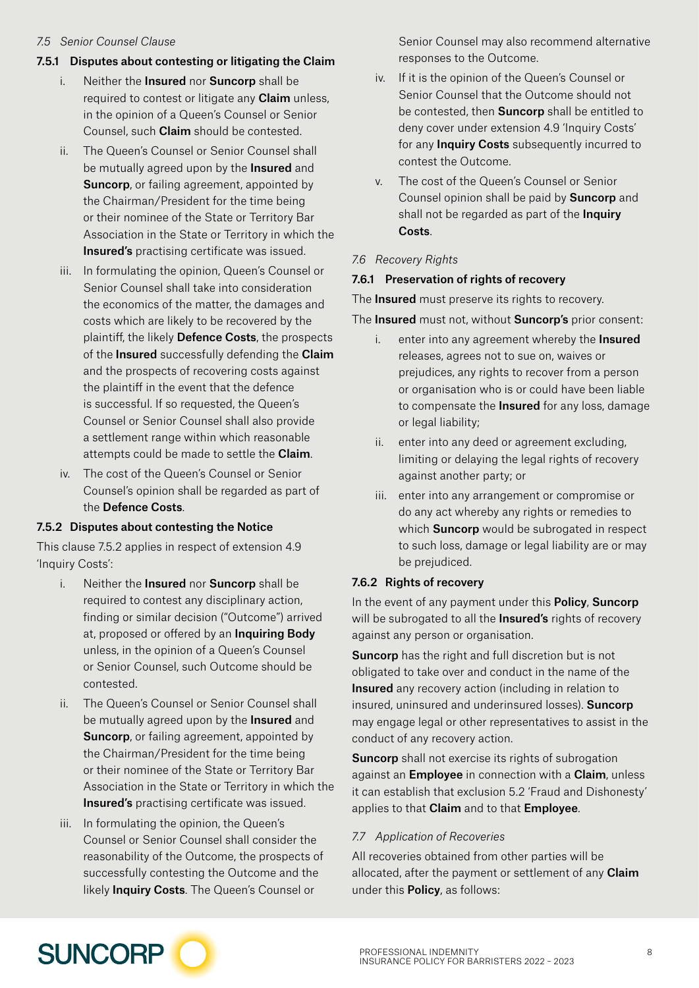#### *7.5 Senior Counsel Clause*

#### 7.5.1 Disputes about contesting or litigating the Claim

- i. Neither the Insured nor Suncorp shall be required to contest or litigate any **Claim** unless, in the opinion of a Queen's Counsel or Senior Counsel, such Claim should be contested.
- ii. The Queen's Counsel or Senior Counsel shall be mutually agreed upon by the **Insured** and **Suncorp**, or failing agreement, appointed by the Chairman/President for the time being or their nominee of the State or Territory Bar Association in the State or Territory in which the Insured's practising certificate was issued.
- iii. In formulating the opinion, Queen's Counsel or Senior Counsel shall take into consideration the economics of the matter, the damages and costs which are likely to be recovered by the plaintiff, the likely Defence Costs, the prospects of the **Insured** successfully defending the **Claim** and the prospects of recovering costs against the plaintiff in the event that the defence is successful. If so requested, the Queen's Counsel or Senior Counsel shall also provide a settlement range within which reasonable attempts could be made to settle the Claim.
- iv. The cost of the Queen's Counsel or Senior Counsel's opinion shall be regarded as part of the Defence Costs.

#### 7.5.2 Disputes about contesting the Notice

This clause 7.5.2 applies in respect of extension 4.9 'Inquiry Costs':

- i. Neither the Insured nor Suncorp shall be required to contest any disciplinary action, finding or similar decision ("Outcome") arrived at, proposed or offered by an Inquiring Body unless, in the opinion of a Queen's Counsel or Senior Counsel, such Outcome should be contested.
- ii. The Queen's Counsel or Senior Counsel shall be mutually agreed upon by the **Insured** and Suncorp, or failing agreement, appointed by the Chairman/President for the time being or their nominee of the State or Territory Bar Association in the State or Territory in which the Insured's practising certificate was issued.
- iii. In formulating the opinion, the Queen's Counsel or Senior Counsel shall consider the reasonability of the Outcome, the prospects of successfully contesting the Outcome and the likely Inquiry Costs. The Queen's Counsel or

Senior Counsel may also recommend alternative responses to the Outcome.

- iv. If it is the opinion of the Queen's Counsel or Senior Counsel that the Outcome should not be contested, then **Suncorp** shall be entitled to deny cover under extension 4.9 'Inquiry Costs' for any **Inquiry Costs** subsequently incurred to contest the Outcome.
- v. The cost of the Queen's Counsel or Senior Counsel opinion shall be paid by Suncorp and shall not be regarded as part of the Inquiry Costs.

#### *7.6 Recovery Rights*

#### 7.6.1 Preservation of rights of recovery

The **Insured** must preserve its rights to recovery.

The Insured must not, without Suncorp's prior consent:

- i. enter into any agreement whereby the **Insured** releases, agrees not to sue on, waives or prejudices, any rights to recover from a person or organisation who is or could have been liable to compensate the **Insured** for any loss, damage or legal liability;
- ii. enter into any deed or agreement excluding, limiting or delaying the legal rights of recovery against another party; or
- iii. enter into any arrangement or compromise or do any act whereby any rights or remedies to which **Suncorp** would be subrogated in respect to such loss, damage or legal liability are or may be prejudiced.

#### 7.6.2 Rights of recovery

In the event of any payment under this **Policy, Suncorp** will be subrogated to all the **Insured's** rights of recovery against any person or organisation.

Suncorp has the right and full discretion but is not obligated to take over and conduct in the name of the Insured any recovery action (including in relation to insured, uninsured and underinsured losses). Suncorp may engage legal or other representatives to assist in the conduct of any recovery action.

**Suncorp** shall not exercise its rights of subrogation against an **Employee** in connection with a **Claim**, unless it can establish that exclusion 5.2 'Fraud and Dishonesty' applies to that Claim and to that Employee.

#### *7.7 Application of Recoveries*

All recoveries obtained from other parties will be allocated, after the payment or settlement of any **Claim** under this Policy, as follows:

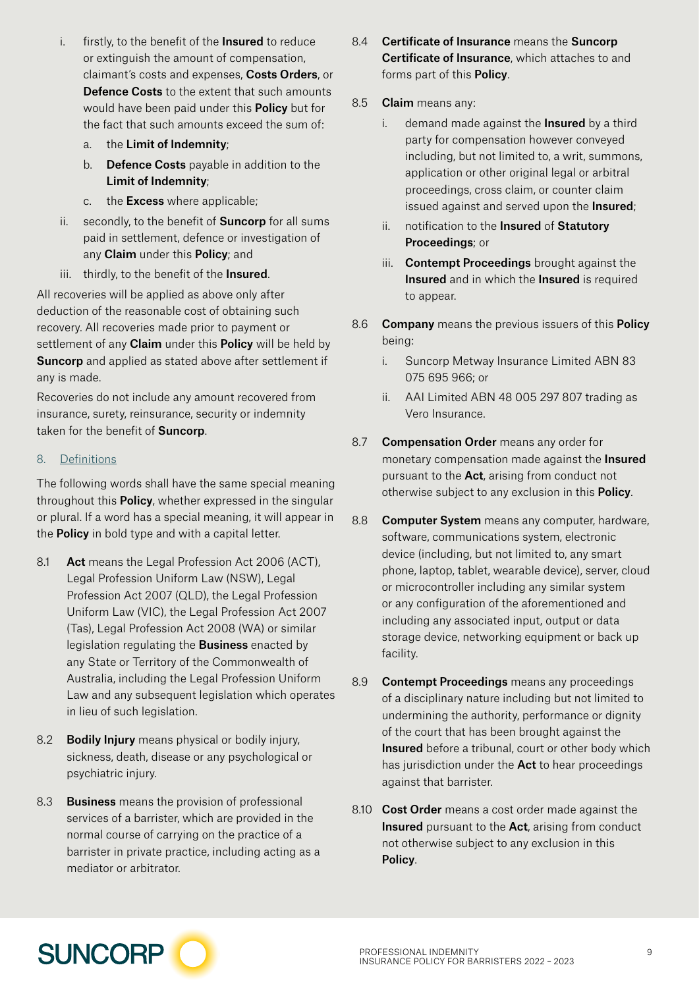- i. firstly, to the benefit of the **Insured** to reduce or extinguish the amount of compensation, claimant's costs and expenses, Costs Orders, or Defence Costs to the extent that such amounts would have been paid under this **Policy** but for the fact that such amounts exceed the sum of:
	- a. the Limit of Indemnity;
	- b. Defence Costs payable in addition to the Limit of Indemnity;
	- c. the **Excess** where applicable:
- ii. secondly, to the benefit of **Suncorp** for all sums paid in settlement, defence or investigation of any Claim under this Policy; and
- iii. thirdly, to the benefit of the Insured.

All recoveries will be applied as above only after deduction of the reasonable cost of obtaining such recovery. All recoveries made prior to payment or settlement of any **Claim** under this **Policy** will be held by Suncorp and applied as stated above after settlement if any is made.

Recoveries do not include any amount recovered from insurance, surety, reinsurance, security or indemnity taken for the benefit of **Suncorp**.

#### 8. Definitions

The following words shall have the same special meaning throughout this **Policy**, whether expressed in the singular or plural. If a word has a special meaning, it will appear in the **Policy** in bold type and with a capital letter.

- 8.1 Act means the Legal Profession Act 2006 (ACT), Legal Profession Uniform Law (NSW), Legal Profession Act 2007 (QLD), the Legal Profession Uniform Law (VIC), the Legal Profession Act 2007 (Tas), Legal Profession Act 2008 (WA) or similar legislation regulating the **Business** enacted by any State or Territory of the Commonwealth of Australia, including the Legal Profession Uniform Law and any subsequent legislation which operates in lieu of such legislation.
- 8.2 Bodily Injury means physical or bodily injury, sickness, death, disease or any psychological or psychiatric injury.
- 8.3 Business means the provision of professional services of a barrister, which are provided in the normal course of carrying on the practice of a barrister in private practice, including acting as a mediator or arbitrator.
- 8.4 Certificate of Insurance means the Suncorp Certificate of Insurance, which attaches to and forms part of this **Policy**.
- 8.5 Claim means any:
	- i. demand made against the **Insured** by a third party for compensation however conveyed including, but not limited to, a writ, summons, application or other original legal or arbitral proceedings, cross claim, or counter claim issued against and served upon the **Insured**;
	- ii. notification to the Insured of Statutory Proceedings; or
	- iii. **Contempt Proceedings** brought against the Insured and in which the Insured is required to appear.
- 8.6 Company means the previous issuers of this Policy being:
	- i. Suncorp Metway Insurance Limited ABN 83 075 695 966; or
	- ii. AAI Limited ABN 48 005 297 807 trading as Vero Insurance.
- 8.7 **Compensation Order** means any order for monetary compensation made against the **Insured** pursuant to the Act, arising from conduct not otherwise subject to any exclusion in this **Policy**.
- 8.8 Computer System means any computer, hardware, software, communications system, electronic device (including, but not limited to, any smart phone, laptop, tablet, wearable device), server, cloud or microcontroller including any similar system or any configuration of the aforementioned and including any associated input, output or data storage device, networking equipment or back up facility.
- 8.9 **Contempt Proceedings** means any proceedings of a disciplinary nature including but not limited to undermining the authority, performance or dignity of the court that has been brought against the Insured before a tribunal, court or other body which has jurisdiction under the **Act** to hear proceedings against that barrister.
- 8.10 **Cost Order** means a cost order made against the Insured pursuant to the Act, arising from conduct not otherwise subject to any exclusion in this Policy.

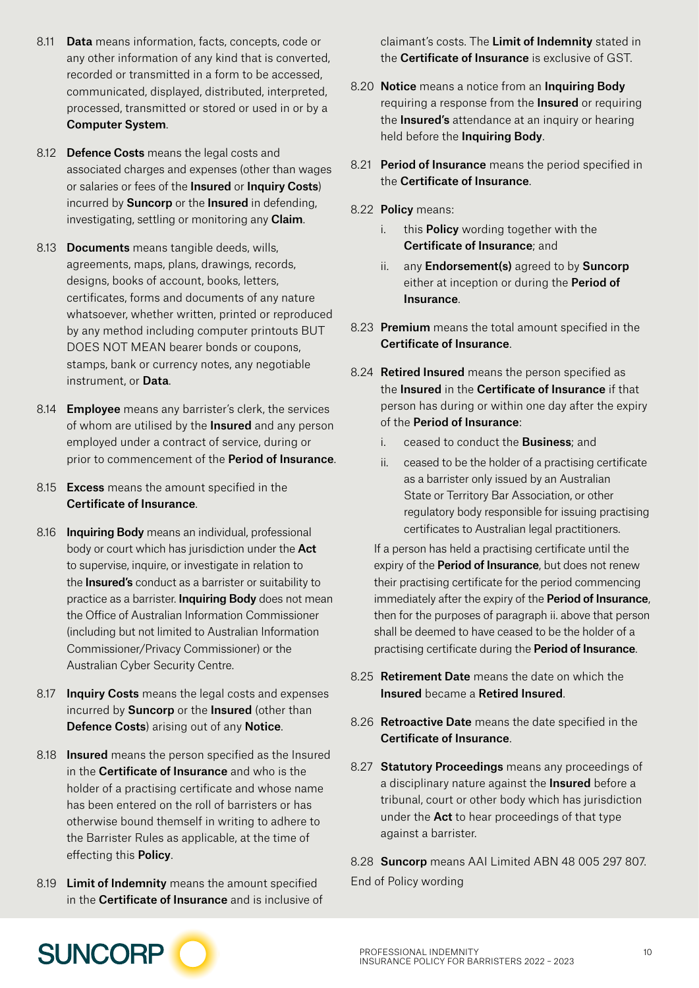- 8.11 **Data** means information, facts, concepts, code or any other information of any kind that is converted, recorded or transmitted in a form to be accessed, communicated, displayed, distributed, interpreted, processed, transmitted or stored or used in or by a Computer System.
- 8.12 Defence Costs means the legal costs and associated charges and expenses (other than wages or salaries or fees of the Insured or Inquiry Costs) incurred by **Suncorp** or the **Insured** in defending, investigating, settling or monitoring any **Claim**.
- 8.13 Documents means tangible deeds, wills, agreements, maps, plans, drawings, records, designs, books of account, books, letters, certificates, forms and documents of any nature whatsoever, whether written, printed or reproduced by any method including computer printouts BUT DOES NOT MEAN bearer bonds or coupons, stamps, bank or currency notes, any negotiable instrument, or Data.
- 8.14 **Employee** means any barrister's clerk, the services of whom are utilised by the Insured and any person employed under a contract of service, during or prior to commencement of the **Period of Insurance**.
- 8.15 **Excess** means the amount specified in the Certificate of Insurance.
- 8.16 Inquiring Body means an individual, professional body or court which has jurisdiction under the Act to supervise, inquire, or investigate in relation to the **Insured's** conduct as a barrister or suitability to practice as a barrister. **Inquiring Body** does not mean the Office of Australian Information Commissioner (including but not limited to Australian Information Commissioner/Privacy Commissioner) or the Australian Cyber Security Centre.
- 8.17 Inquiry Costs means the legal costs and expenses incurred by **Suncorp** or the **Insured** (other than Defence Costs) arising out of any Notice.
- 8.18 **Insured** means the person specified as the Insured in the **Certificate of Insurance** and who is the holder of a practising certificate and whose name has been entered on the roll of barristers or has otherwise bound themself in writing to adhere to the Barrister Rules as applicable, at the time of effecting this Policy.
- 8.19 Limit of Indemnity means the amount specified in the Certificate of Insurance and is inclusive of

claimant's costs. The Limit of Indemnity stated in the Certificate of Insurance is exclusive of GST.

- 8.20 Notice means a notice from an Inquiring Body requiring a response from the **Insured** or requiring the **Insured's** attendance at an inquiry or hearing held before the Inquiring Body.
- 8.21 Period of Insurance means the period specified in the Certificate of Insurance.
- 8.22 Policy means:
	- i. this **Policy** wording together with the Certificate of Insurance; and
	- ii. any **Endorsement(s)** agreed to by **Suncorp** either at inception or during the **Period of** Insurance.
- 8.23 Premium means the total amount specified in the Certificate of Insurance.
- 8.24 Retired Insured means the person specified as the Insured in the Certificate of Insurance if that person has during or within one day after the expiry of the Period of Insurance:
	- i. ceased to conduct the **Business**; and
	- ii. ceased to be the holder of a practising certificate as a barrister only issued by an Australian State or Territory Bar Association, or other regulatory body responsible for issuing practising certificates to Australian legal practitioners.

If a person has held a practising certificate until the expiry of the **Period of Insurance**, but does not renew their practising certificate for the period commencing immediately after the expiry of the **Period of Insurance**, then for the purposes of paragraph ii. above that person shall be deemed to have ceased to be the holder of a practising certificate during the Period of Insurance.

- 8.25 **Retirement Date** means the date on which the Insured became a Retired Insured.
- 8.26 Retroactive Date means the date specified in the Certificate of Insurance.
- 8.27 Statutory Proceedings means any proceedings of a disciplinary nature against the **Insured** before a tribunal, court or other body which has jurisdiction under the **Act** to hear proceedings of that type against a barrister.

8.28 Suncorp means AAI Limited ABN 48 005 297 807. End of Policy wording

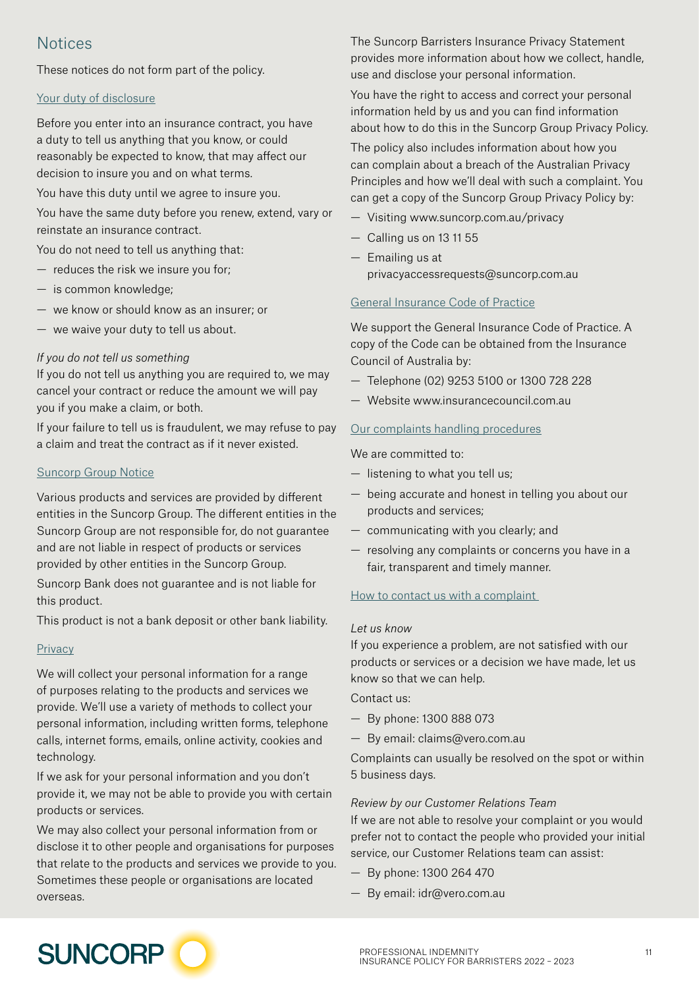## **Notices**

These notices do not form part of the policy.

#### Your duty of disclosure

Before you enter into an insurance contract, you have a duty to tell us anything that you know, or could reasonably be expected to know, that may affect our decision to insure you and on what terms.

You have this duty until we agree to insure you.

You have the same duty before you renew, extend, vary or reinstate an insurance contract.

You do not need to tell us anything that:

- reduces the risk we insure you for;
- is common knowledge;
- we know or should know as an insurer; or
- we waive your duty to tell us about.

#### *If you do not tell us something*

If you do not tell us anything you are required to, we may cancel your contract or reduce the amount we will pay you if you make a claim, or both.

If your failure to tell us is fraudulent, we may refuse to pay a claim and treat the contract as if it never existed.

#### Suncorp Group Notice

Various products and services are provided by different entities in the Suncorp Group. The different entities in the Suncorp Group are not responsible for, do not guarantee and are not liable in respect of products or services provided by other entities in the Suncorp Group.

Suncorp Bank does not guarantee and is not liable for this product.

This product is not a bank deposit or other bank liability.

#### **Privacy**

We will collect your personal information for a range of purposes relating to the products and services we provide. We'll use a variety of methods to collect your personal information, including written forms, telephone calls, internet forms, emails, online activity, cookies and technology.

If we ask for your personal information and you don't provide it, we may not be able to provide you with certain products or services.

We may also collect your personal information from or disclose it to other people and organisations for purposes that relate to the products and services we provide to you. Sometimes these people or organisations are located overseas.

The Suncorp Barristers Insurance Privacy Statement provides more information about how we collect, handle, use and disclose your personal information.

You have the right to access and correct your personal information held by us and you can find information about how to do this in the Suncorp Group Privacy Policy.

The policy also includes information about how you can complain about a breach of the Australian Privacy Principles and how we'll deal with such a complaint. You can get a copy of the Suncorp Group Privacy Policy by:

- Visiting [www.suncorp.com.au/privacy](http://www.suncorp.com.au/privacy)
- Calling us on 13 11 55
- Emailing us at [privacyaccessrequests@suncorp.com.au](mailto:privacyaccessrequests%40suncorp.com.au?subject=)

#### General Insurance Code of Practice

We support the General Insurance Code of Practice. A copy of the Code can be obtained from the Insurance Council of Australia by:

- Telephone (02) 9253 5100 or 1300 728 228
- Website [www.insurancecouncil.com.au](http://www.insurancecouncil.com.au)

#### Our complaints handling procedures

We are committed to:

- listening to what you tell us;
- being accurate and honest in telling you about our products and services;
- communicating with you clearly; and
- resolving any complaints or concerns you have in a fair, transparent and timely manner.

#### How to contact us with a complaint

#### *Let us know*

If you experience a problem, are not satisfied with our products or services or a decision we have made, let us know so that we can help.

Contact us:

- By phone: 1300 888 073
- By email: [claims@vero.com.au](mailto:claims%40vero.com.au?subject=)

Complaints can usually be resolved on the spot or within 5 business days.

#### *Review by our Customer Relations Team*

If we are not able to resolve your complaint or you would prefer not to contact the people who provided your initial service, our Customer Relations team can assist:

- By phone: 1300 264 470
- By email: [idr@vero.com.au](mailto:idr%40vero.com.au%20?subject=)